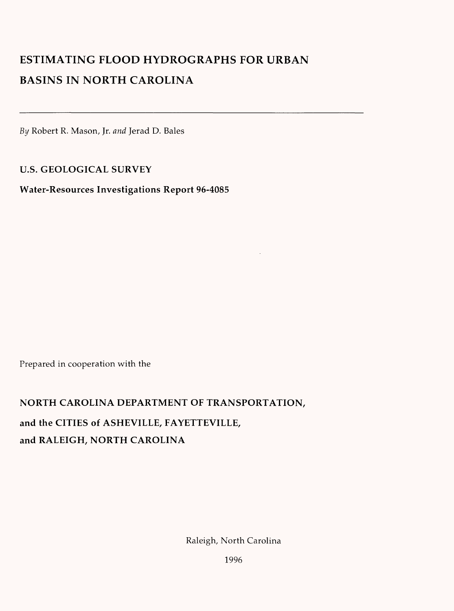# **ESTIMATING FLOOD HYDROGRAPHS FOR URBAN BASINS IN NORTH CAROLINA**

By Robert R. Mason, Jr. *and* Jerad D. Bales

**U.S. GEOLOGICAL SURVEY** 

**Water-Resources Investigations Report 96-4085**

Prepared in cooperation with the

**NORTH CAROLINA DEPARTMENT OF TRANSPORTATION, and the CITIES of ASHEVILLE, FAYETTEVILLE, and RALEIGH, NORTH CAROLINA**

Raleigh, North Carolina

1996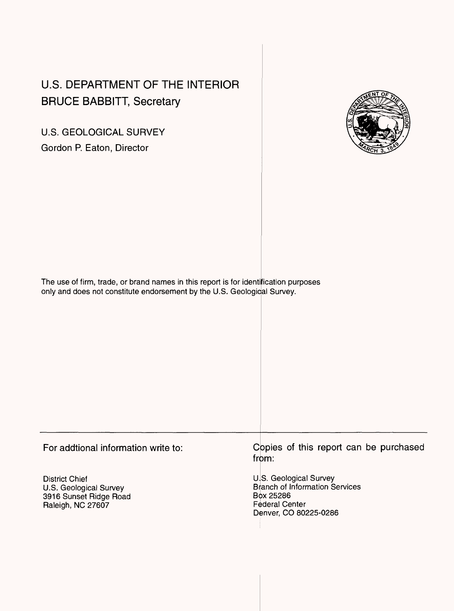# U.S. DEPARTMENT OF THE INTERIOR BRUCE BABBITT, Secretary

U.S. GEOLOGICAL SURVEY Gordon P. Eaton, Director



The use of firm, trade, or brand names in this report is for identification purposes only and does not constitute endorsement by the U.S. Geological Survey.

For addtional information write to:

District Chief U.S. Geological Survey 3916 Sunset Ridge Road Raleigh, NC 27607

Copies of this report can be purchased from:

U.S. Geological Survey Btanch of Information Services Box 25286 Federal Center Denver, CO 80225-0286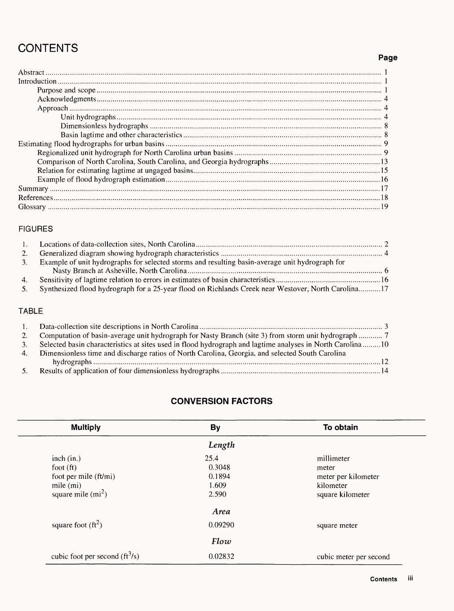# **CONTENTS**

# **Page**

#### FIGURES

| 2.  |                                                                                                        |  |
|-----|--------------------------------------------------------------------------------------------------------|--|
| -3. | Example of unit hydrographs for selected storms and resulting basin-average unit hydrograph for        |  |
|     |                                                                                                        |  |
|     |                                                                                                        |  |
|     | 5. Synthesized flood hydrograph for a 25-year flood on Richlands Creek near Westover, North Carolina17 |  |

### TABLE

|    | 2. Computation of basin-average unit hydrograph for Nasty Branch (site 3) from storm unit hydrograph  7   |
|----|-----------------------------------------------------------------------------------------------------------|
|    | Selected basin characteristics at sites used in flood hydrograph and lagtime analyses in North Carolina10 |
| 4. | Dimensionless time and discharge ratios of North Carolina, Georgia, and selected South Carolina           |
|    |                                                                                                           |
|    |                                                                                                           |

# **CONVERSION FACTORS**

| <b>Multiply</b>                  | <b>By</b> | To obtain              |
|----------------------------------|-----------|------------------------|
|                                  | Length    |                        |
| inch (in.)                       | 25.4      | millimeter             |
| foot $(ft)$                      | 0.3048    | meter                  |
| foot per mile (ft/mi)            | 0.1894    | meter per kilometer    |
| mile $(mi)$                      | 1.609     | kilometer              |
| square mile $(mi^2)$             | 2.590     | square kilometer       |
|                                  | Area      |                        |
| square foot $(\text{ft}^2)$      | 0.09290   | square meter           |
|                                  | Flow      |                        |
| cubic foot per second $(ft^3/s)$ | 0.02832   | cubic meter per second |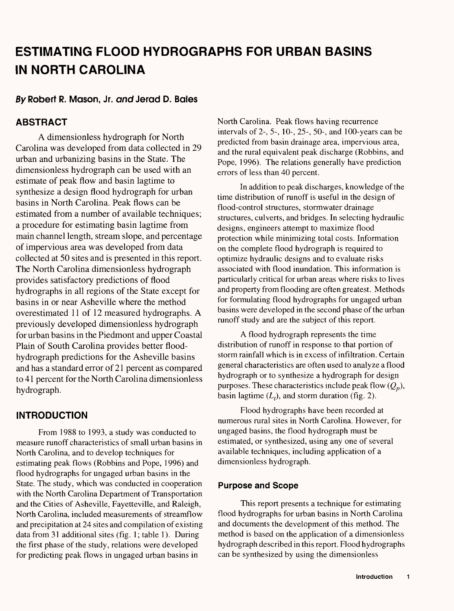# **ESTIMATING FLOOD HYDROGRAPHS FOR URBAN BASINS IN NORTH CAROLINA**

# **fi/Robert R. Mason, Jr. andJerad D. Bales**

# **ABSTRACT**

A dimensionless hydrograph for North Carolina was developed from data collected in 29 urban and urbanizing basins in the State. The dimensionless hydrograph can be used with an estimate of peak flow and basin lagtime to synthesize a design flood hydrograph for urban basins in North Carolina. Peak flows can be estimated from a number of available techniques; a procedure for estimating basin lagtime from main channel length, stream slope, and percentage of impervious area was developed from data collected at 50 sites and is presented in this report. The North Carolina dimensionless hydrograph provides satisfactory predictions of flood hydrographs in all regions of the State except for basins in or near Asheville where the method overestimated 11 of 12 measured hydrographs. A previously developed dimensionless hydrograph for urban basins in the Piedmont and upper Coastal Plain of South Carolina provides better floodhydrograph predictions for the Asheville basins and has a standard error of 21 percent as compared to 41 percent for the North Carolina dimensionless hydrograph.

# **INTRODUCTION**

From 1988 to 1993, a study was conducted to measure runoff characteristics of small urban basins in North Carolina, and to develop techniques for estimating peak flows (Robbins and Pope, 1996) and flood hydrographs for ungaged urban basins in the State. The study, which was conducted in cooperation with the North Carolina Department of Transportation and the Cities of Asheville, Fayetteville, and Raleigh, North Carolina, included measurements of streamflow and precipitation at 24 sites and compilation of existing data from 31 additional sites (fig. 1; table 1). During the first phase of the study, relations were developed for predicting peak flows in ungaged urban basins in

North Carolina. Peak flows having recurrence intervals of 2-, 5-, 10-, 25-, 50-, and 100-years can be predicted from basin drainage area, impervious area, and the rural equivalent peak discharge (Robbins, and Pope, 1996). The relations generally have prediction errors of less than 40 percent.

In addition to peak discharges, knowledge of the time distribution of runoff is useful in the design of flood-control structures, stormwater drainage structures, culverts, and bridges. In selecting hydraulic designs, engineers attempt to maximize flood protection while minimizing total costs. Information on the complete flood hydrograph is required to optimize hydraulic designs and to evaluate risks associated with flood inundation. This information is particularly critical for urban areas where risks to lives and property from flooding are often greatest. Methods for formulating flood hydrographs for ungaged urban basins were developed in the second phase of the urban runoff study and are the subject of this report.

A flood hydrograph represents the time distribution of runoff in response to that portion of storm rainfall which is in excess of infiltration. Certain general characteristics are often used to analyze a flood hydrograph or to synthesize a hydrograph for design purposes. These characteristics include peak flow  $(Q_n)$ , basin lagtime  $(L_t)$ , and storm duration (fig. 2).

Flood hydrographs have been recorded at numerous rural sites in North Carolina. However, for ungaged basins, the flood hydrograph must be estimated, or synthesized, using any one of several available techniques, including application of a dimensionless hydrograph.

#### **Purpose and Scope**

This report presents a technique for estimating flood hydrographs for urban basins in North Carolina and documents the development of this method. The method is based on the application of a dimensionless hydrograph described in this report. Flood hydrographs can be synthesized by using the dimensionless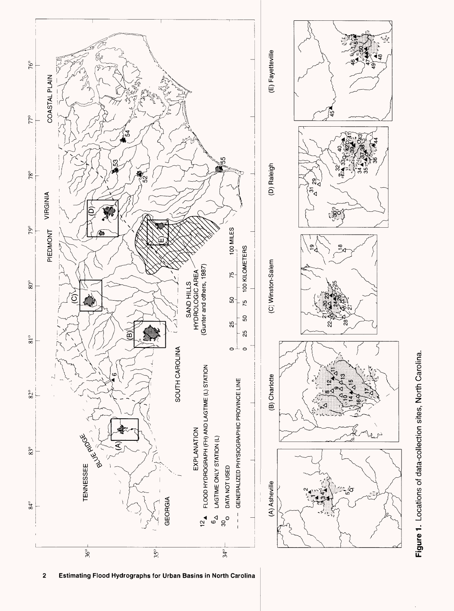

Figure 1. Locations of data-collection sites, North Carolina. **Figure 1.** Locations of data-collection sites, North Carolina.

mating Flood Hydrographs for Urban Basi  $\overline{\mathbf{c}}$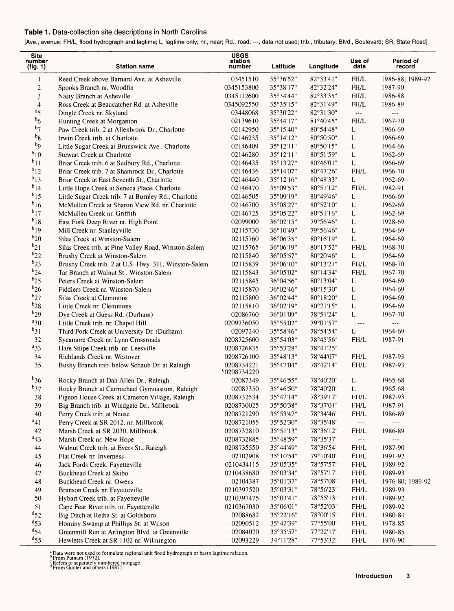#### **Table 1.** Data-collection site descriptions in North Carolina

[Ave., avenue; FH/L, flood hydrograph and lagtime; L, lagtime only; nr., near; Rd., road; ---, data not used; trib., tributary; Blvd., Boulevard; SR, State Road]

| <b>Site</b><br>number<br>(fig. 1) | <b>Station name</b>                                  | <b>USGS</b><br>station<br>number | Latitude  | Longitude           | Use of<br>data | Period of<br>record |
|-----------------------------------|------------------------------------------------------|----------------------------------|-----------|---------------------|----------------|---------------------|
| $\mathbf{1}$                      | Reed Creek above Barnard Ave, at Asheville           | 03451510                         | 35°36'52" | 82°33'41"           | FH/L           | 1986-88; 1989-92    |
| $\boldsymbol{2}$                  | Spooks Branch nr. Woodfin                            | 0345153800                       | 35°38'17" | 82°32'24"           | FH/L           | 1987-90             |
| $\mathfrak{Z}$                    | Nasty Branch at Asheville                            | 0345112600                       | 35°34'44" | 82°33'35"           | FH/L           | 1986-88             |
| $\overline{\mathbf{4}}$           | Ross Creek at Beaucatcher Rd. at Asheville           | 0345092550                       | 35°35'15" | 82°31'49"           | FH/L           | 1986-89             |
| a <sub>5</sub>                    | Dingle Creek nr. Skyland                             | 03448068                         | 35°30'22" | 82°31'30"           | $\overline{a}$ | ---                 |
| $b_6$                             | Hunting Creek at Morganton                           | 02139610                         | 35°44'17" | 81°40'45"           | FH/L           | 1967-70             |
| $b_7$                             | Paw Creek trib. 2 at Allenbrook Dr., Charlotte       | 02142950                         | 35°15'40" | 80°54'48"           | L              | 1966-69             |
| $b_8$                             | Irwin Creek trib. at Charlotte                       | 02146235                         | 35°14'12" | 80°50'50"           | L              | 1966-69             |
| $b_{\rm Q}$                       | Little Sugar Creek at Brunswick Ave., Charlotte      | 02146409                         | 35°12'11" | 80°50'15"           | L              | 1964-66             |
| $b_{10}$                          | Stewart Creek at Charlotte                           | 02146280                         | 35°12'11" | 80°51'59"           | L              | 1962-69             |
| $b_{11}$                          | Briar Creek trib. 6 at Sudbury Rd., Charlotte        | 02146435                         | 35°13'27" | 80°46'01"           | L              | 1966-69             |
| $b_{12}$                          | Briar Creek trib. 7 at Shamrock Dr., Charlotte       | 02146436                         | 35°14'07" | 80°47'26"           | FH/L           | 1966-70             |
| $b_{13}$                          | Briar Creek at East Seventh St., Charlotte           | 02146440                         | 35°12'16" | 80°48'33"           | L              | 1962-69             |
| $b_{14}$                          | Little Hope Creek at Seneca Place, Charlotte         | 02146470                         | 35°09'53" | 80°51'12"           | FH/L           | 1982-91             |
| $b_{15}$                          | Little Sugar Creek trib. 7 at Burnley Rd., Charlotte | 02146505                         | 35°09'19" | 80°49'46"           | L              | 1966-69             |
| $b_{16}$                          | McMullen Creek at Sharon View Rd. nr. Charlotte      | 02146700                         | 35°08'27" | 80°52'10"           | L              | 1962-69             |
| $b_{17}$                          | McMullen Creek nr. Griffith                          | 02146725                         | 35°05'22" | 80°51'16"           | L              | 1962-69             |
| $b_{18}$                          | East Fork Deep River nr. High Point                  | 02099000                         | 36°02'15" | 79°56'46"           | $\mathbf L$    | 1928-69             |
| $b_{19}$                          | Mill Creek nr. Stanleyville                          | 02115730                         | 36°10'49" | 79°56'46"           | L              | 1964-69             |
| $b_{20}$                          | Silas Creek at Winston-Salem                         | 02115760                         | 36°06'35" | $80^{\circ}16'19''$ | $\mathsf L$    | 1964-69             |
| $b_{21}$                          | Silas Creek trib. at Pine Valley Road, Winston-Salem | 02115765                         | 36°06'19" | 80°17'52"           | FH/L           | 1968-70             |
| $b_{22}$                          | Brushy Creek at Winston-Salem                        | 02115840                         | 36°05'57" | 80°20'46"           | L              | 1964-69             |
| $b_{23}$                          | Brushy Creek trib. 2 at U.S. Hwy. 311, Winston-Salem | 02115839                         | 36°06'10" | $80^{\circ}13'21"$  | FH/L           | 1968-70             |
| $b_{24}$                          | Tar Branch at Walnut St., Winston-Salem              | 02115843                         | 36°05'02" | 80°14'34"           | FH/L           | 1967-70             |
| $b_{25}$                          |                                                      |                                  | 36°04'56" | 80°13'04"           | L              | 1964-69             |
| $b_{26}$                          | Peters Creek at Winston-Salem                        | 02115845                         |           |                     |                |                     |
| $b_{27}$                          | Fiddlers Creek nr. Winston-Salem                     | 02115870                         | 36°02'46" | 80°15'30"           | L              | 1964-69             |
| $b_{28}$                          | Silas Creek at Clemmons                              | 02115800                         | 36°02'44" | 80°18'20"           | $\mathbf L$    | 1964-69             |
| $b_{29}$                          | Little Creek nr. Clemmons                            | 02115810                         | 36°02'19" | 80°21'15"           | L              | 1964-69             |
|                                   | Dye Creek at Guess Rd. (Durham)                      | 02086760                         | 36°01'09" | 78°51'24"           | $\mathbf L$    | 1967-70             |
| $a_{30}$                          | Little Creek trib. nr. Chapel Hill                   | 0209736050                       | 35°55'02" | 79°01'57"           | $\frac{1}{2}$  | $\overline{a}$      |
| $b_{31}$                          | Third Fork Creek at University Dr. (Durham)          | 02097240                         | 35°58'46" | 78°54'54"           | L              | 1964-69             |
| 32                                | Sycamore Creek nr. Lynn Crossroads                   | 0208725600                       | 35°54'03" | 78°45'56"           | FH/L           | 1987-91             |
| $a_{33}$                          | Hare Snipe Creek trib. nr. Leesville                 | 0208726835                       | 35°53'28" | 78°41'25"           | $\overline{a}$ | $ -$                |
| 34                                | Richlands Creek nr. Westover                         | 0208726100                       | 35°48'13" | 78°44'07"           | FH/L           | 1987-93             |
| 35                                | Bushy Branch trib. below Schaub Dr. at Raleigh       | 0208734221<br>$^{c}$ 0208734220  | 35°47'04" | 78°42'14"           | FH/L           | 1987-93             |
| $b_{36}$                          | Rocky Branch at Dan Allen Dr., Raleigh               | 02087349                         | 35°46'55" | 78°40'20"           | L              | 1965-68             |
| $b_{37}$                          | Rocky Branch at Carmichael Gymnasium, Raleigh        | 02087350                         | 35°46'50" | 78°40'20"           | L              | 1965-68             |
| 38                                | Pigeon House Creek at Cameron Village, Raleigh       | 0208732534                       | 35°47'14" | 78°39'17"           | FH/L           | 1987-93             |
| 39                                | Big Branch trib. at Windgate Dr., Millbrook          | 0208730025                       | 35°50'38″ | 78°37'01"           | FH/L           | 1987-91             |
| 40                                | Perry Creek trib. at Neuse                           | 0208721290                       | 35°53'47" | 78°34'46"           | FH/L           | 1986-89             |
| $a_{41}$                          | Perry Creek at SR 2012, nr. Millbrook                | 0208721055                       | 35°52'30" | 78°35'48"           | ---            | $\cdots$            |
| 42                                | Marsh Creek at SR 2030, Millbrook                    | 0208732810                       | 35°51'13" | 78°36'12"           | FH/L           | 1986-89             |
| $a_{43}$                          | Marsh Creek nr. New Hope                             | 0208732885                       | 35°48'59" | 78°35'37"           | ---            |                     |
| 44                                | Walnut Creek trib. at Evers St., Raleigh             | 0208735550                       | 35°44'49" | 78°36'54"           | FH/L           | 1987-90             |
| 45                                | Flat Creek nr. Inverness                             | 02102908                         | 35°10'54" | 79°10'40"           | FH/L           | 1991-92             |
| 46                                | Jack Fords Creek, Fayetteville                       | 0210434115                       | 35°05'35" | 78°57'57"           | FH/L           | 1989-92             |
| 47                                | Buckhead Creek at Skibo                              | 0210438680                       | 35°03'34" | 78°57'17"           | FH/L           | 1989-93             |
| 48                                | Buckhead Creek nr. Owens                             | 02104387                         | 35°01'37" | 78°57'08"           | ${\rm FH/L}$   | 1976-80; 1989-92    |
| 49                                | Branson Creek nr. Fayetteville                       | 0210397520                       | 35°03'31" | 78°56'23"           | $\rm FH/L$     | 1989-93             |
| 50                                | Hybart Creek trib. at Fayetteville                   | 0210397475                       | 35°03'41" | 78°55'13"           | FH/L           | 1989-92             |
| 51                                | Cape Fear River trib. nr. Fayetteville               | 0210367030                       | 35°06'01" | 78°52'03"           | FH/L           | 1989-92             |
| $d_{52}$                          | Big Ditch at Retha St. at Goldsboro                  | 02088682                         | 35°22'16" | 78°00'15"           | FH/L           | 1980-84             |
| $^{d}$ 53                         | Hominy Swamp at Phillips St. at Wilson               | 02090512                         | 35°42'39" | 77°55'00"           | FH/L           | 1978-85             |
| $^{d}$ 54                         | Greenmill Run at Arlington Blvd. at Greenville       | 02084070                         | 35°35'57" | 77°22'17"           | $\rm FH/L$     | 1980-85             |
| $d_{55}$                          | Hewletts Creek at SR 1102 nr. Wilmington             | 02093229                         | 34°11'28" | 77°53'32"           | FH/L           | 1976-90             |

<sup>a</sup> Data were not used to formulate regional unit flood hydrograph or basın lagtime relation<br><sup>h F</sup>rom Putnam (1972).<br>G Refers to separately numbered raingage.<br><sup>d</sup> From Gunter and others (1987).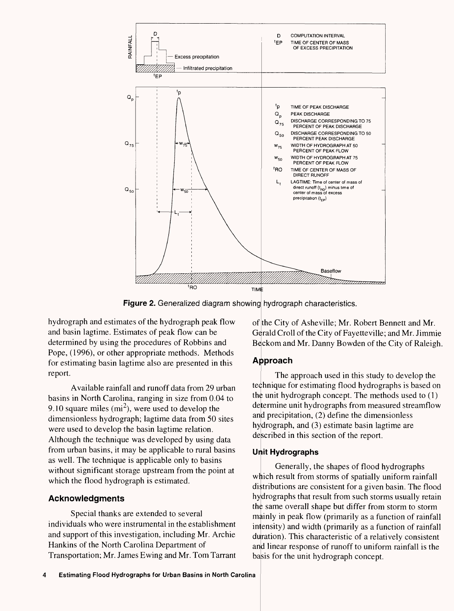

**Figure 2.** Generalized diagram showing hydrograph characteristics.

hydrograph and estimates of the hydrograph peak flow and basin lagtime. Estimates of peak flow can be determined by using the procedures of Robbins and Pope, (1996), or other appropriate methods. Methods for estimating basin lagtime also are presented in this report.

Available rainfall and runoff data from 29 urban basins in North Carolina, ranging in size from 0.04 to 9.10 square miles  $(m<sup>2</sup>)$ , were used to develop the dimensionless hydrograph; lagtime data from 50 sites were used to develop the basin lagtime relation. Although the technique was developed by using data from urban basins, it may be applicable to rural basins as well. The technique is applicable only to basins without significant storage upstream from the point at which the flood hydrograph is estimated.

## **Acknowledgments**

Special thanks are extended to several individuals who were instrumental in the establishment and support of this investigation, including Mr. Archie Hankins of the North Carolina Department of Transportation; Mr. James Ewing and Mr. Tom Tarrant of the City of Asheville; Mr. Robert Bennett and Mr. Gerald Croll of the City of Fayetteville; and Mr. Jimmie Beckom and Mr. Danny Bowden of the City of Raleigh.

# **Approach**

The approach used in this study to develop the technique for estimating flood hydrographs is based on the unit hydrograph concept. The methods used to (1) determine unit hydrographs from measured streamflow and precipitation, (2) define the dimensionless hydrograph, and (3) estimate basin lagtime are described in this section of the report.

## **Unit Hydrographs**

Generally, the shapes of flood hydrographs which result from storms of spatially uniform rainfall distributions are consistent for a given basin. The flood hydrographs that result from such storms usually retain the same overall shape but differ from storm to storm mainly in peak flow (primarily as a function of rainfall intensity) and width (primarily as a function of rainfall duration). This characteristic of a relatively consistent and linear response of runoff to uniform rainfall is the basis for the unit hydrograph concept.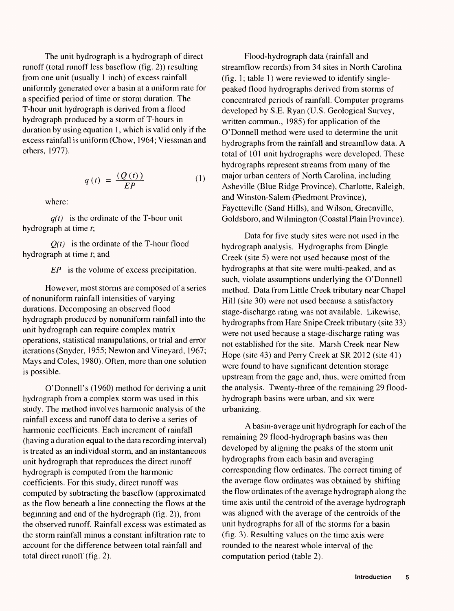The unit hydrograph is a hydrograph of direct runoff (total runoff less baseflow (fig. 2)) resulting from one unit (usually 1 inch) of excess rainfall uniformly generated over a basin at a uniform rate for a specified period of time or storm duration. The T-hour unit hydrograph is derived from a flood hydrograph produced by a storm of T-hours in duration by using equation 1, which is valid only if the excess rainfall is uniform (Chow, 1964; Viessman and others, 1977).

$$
q(t) = \frac{(Q(t))}{EP} \tag{1}
$$

where:

*q(t)* is the ordinate of the T-hour unit hydrograph at time *t;*

*Q(t)* is the ordinate of the T-hour flood hydrograph at time *t;* and

*EP* is the volume of excess precipitation.

However, most storms are composed of a series of nonuniform rainfall intensities of varying durations. Decomposing an observed flood hydrograph produced by nonuniform rainfall into the unit hydrograph can require complex matrix operations, statistical manipulations, or trial and error iterations (Snyder, 1955; Newton and Vineyard, 1967; Mays and Coles, 1980). Often, more than one solution is possible.

O'Donnell's (1960) method for deriving a unit hydrograph from a complex storm was used in this study. The method involves harmonic analysis of the rainfall excess and runoff data to derive a series of harmonic coefficients. Each increment of rainfall (having a duration equal to the data recording interval) is treated as an individual storm, and an instantaneous unit hydrograph that reproduces the direct runoff hydrograph is computed from the harmonic coefficients. For this study, direct runoff was computed by subtracting the baseflow (approximated as the flow beneath a line connecting the flows at the beginning and end of the hydrograph (fig. 2)), from the observed runoff. Rainfall excess was estimated as the storm rainfall minus a constant infiltration rate to account for the difference between total rainfall and total direct runoff (fig. 2).

Flood-hydrograph data (rainfall and streamflow records) from 34 sites in North Carolina (fig. 1; table 1) were reviewed to identify singlepeaked flood hydrographs derived from storms of concentrated periods of rainfall. Computer programs developed by S.E. Ryan (U.S. Geological Survey, written commun., 1985) for application of the O'Donnell method were used to determine the unit hydrographs from the rainfall and streamflow data. A total of 101 unit hydrographs were developed. These hydrographs represent streams from many of the major urban centers of North Carolina, including Asheville (Blue Ridge Province), Charlotte, Raleigh, and Winston-Salem (Piedmont Province), Fayetteville (Sand Hills), and Wilson, Greenville, Goldsboro, and Wilmington (Coastal Plain Province).

Data for five study sites were not used in the hydrograph analysis. Hydrographs from Dingle Creek (site 5) were not used because most of the hydrographs at that site were multi-peaked, and as such, violate assumptions underlying the O'Donnell method. Data from Little Creek tributary near Chapel Hill (site 30) were not used because a satisfactory stage-discharge rating was not available. Likewise, hydrographs from Hare Snipe Creek tributary (site 33) were not used because a stage-discharge rating was not established for the site. Marsh Creek near New Hope (site 43) and Perry Creek at SR 2012 (site 41) were found to have significant detention storage upstream from the gage and, ihus, were omitted from the analysis. Twenty-three of the remaining 29 floodhydrograph basins were urban, and six were urbanizing.

A basin-average unit hydrograph for each of the remaining 29 flood-hydrograph basins was then developed by aligning the peaks of the storm unit hydrographs from each basin and averaging corresponding flow ordinates. The correct timing of the average flow ordinates was obtained by shifting the flow ordinates of the average hydrograph along the time axis until the centroid of the average hydrograph was aligned with the average of the centroids of the unit hydrographs for all of the storms for a basin (fig. 3). Resulting values on the time axis were rounded to the nearest whole interval of the computation period (table 2).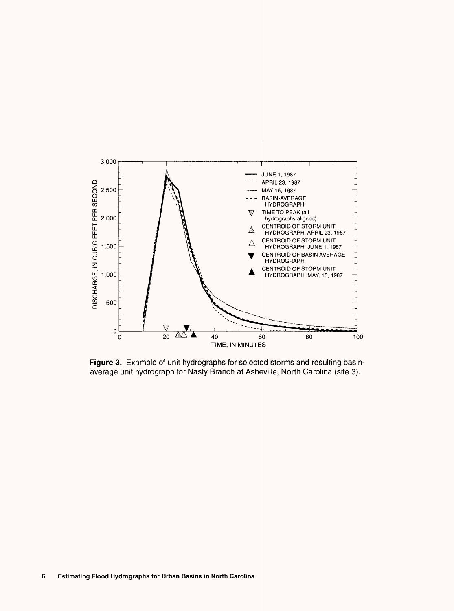

**Figure 3.** Example of unit hydrographs for selected storms and resulting basinaverage unit hydrograph for Nasty Branch at Asheville, North Carolina (site 3)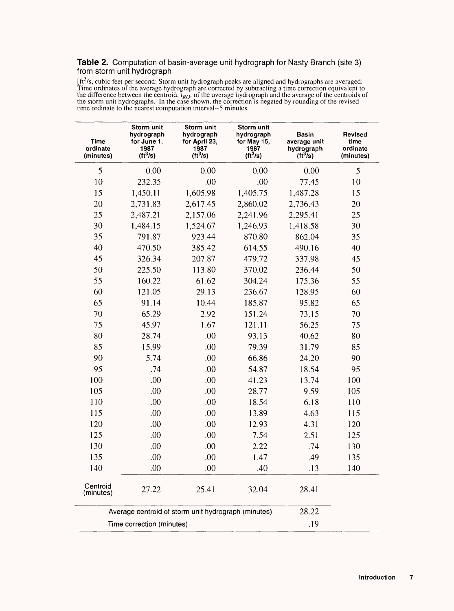#### **Table 2.** Computation of basin-average unit hydrograph for Nasty Branch (site 3) from storm unit hydrograph

[ft<sup>3</sup>/s, cubic feet per second; Storm unit hydrograph peaks are aligned and hydrographs are averaged. Time ordinates of the average hydrograph are corrected by subtracting a time correction equivalent to the difference between the centroid,  $\overline{t_{RO}}$ , of the average hydrograph and the average of the centroids of the storm unit hydrographs. In the case shown, the correction is negated by rounding of the revised time ordinate to the nearest computation interval--5 minutes.

| Time<br>ordinate<br>(minutes) | Storm unit<br>hydrograph<br>for June 1,<br>1987<br>$(tt^3/s)$ | Storm unit<br>hydrograph<br>for April 23,<br>1987<br>$(\text{ft}^3/\text{s})$ | Storm unit<br>hydrograph<br>for May 15,<br>1987<br>$(\text{ft}^3/\text{s})$ | Basin<br>average unit<br>hydrograph<br>$(\text{ft}^3/\text{s})$ | Revised<br>time<br>ordinate<br>(minutes) |
|-------------------------------|---------------------------------------------------------------|-------------------------------------------------------------------------------|-----------------------------------------------------------------------------|-----------------------------------------------------------------|------------------------------------------|
| 5                             | 0.00                                                          | 0.00                                                                          | 0.00                                                                        | 0.00                                                            | 5                                        |
| 10                            | 232.35                                                        | .00                                                                           | .00                                                                         | 77.45                                                           | 10                                       |
| 15                            | 1,450.11                                                      | 1,605.98                                                                      | 1,405.75                                                                    | 1,487.28                                                        | 15                                       |
| 20                            | 2,731.83                                                      | 2,617.45                                                                      | 2,860.02                                                                    | 2,736.43                                                        | 20                                       |
| 25                            | 2,487.21                                                      | 2,157.06                                                                      | 2,241.96                                                                    | 2,295.41                                                        | 25                                       |
| 30                            | 1,484.15                                                      | 1,524.67                                                                      | 1,246.93                                                                    | 1,418.58                                                        | 30                                       |
| 35                            | 791.87                                                        | 923.44                                                                        | 870.80                                                                      | 862.04                                                          | 35                                       |
| 40                            | 470.50                                                        | 385.42                                                                        | 614.55                                                                      | 490.16                                                          | 40                                       |
| 45                            | 326.34                                                        | 207.87                                                                        | 479.72                                                                      | 337.98                                                          | 45                                       |
| 50                            | 225.50                                                        | 113.80                                                                        | 370.02                                                                      | 236.44                                                          | 50                                       |
| 55                            | 160.22                                                        | 61.62                                                                         | 304.24                                                                      | 175.36                                                          | 55                                       |
| 60                            | 121.05                                                        | 29.13                                                                         | 236.67                                                                      | 128.95                                                          | 60                                       |
| 65                            | 91.14                                                         | 10.44                                                                         | 185.87                                                                      | 95.82                                                           | 65                                       |
| 70                            | 65.29                                                         | 2.92                                                                          | 151.24                                                                      | 73.15                                                           | 70                                       |
| 75                            | 45.97                                                         | 1.67                                                                          | 121.11                                                                      | 56.25                                                           | 75                                       |
| 80                            | 28.74                                                         | .00                                                                           | 93.13                                                                       | 40.62                                                           | 80                                       |
| 85                            | 15.99                                                         | .00                                                                           | 79.39                                                                       | 31.79                                                           | 85                                       |
| 90                            | 5.74                                                          | .00                                                                           | 66.86                                                                       | 24.20                                                           | 90                                       |
| 95                            | .74                                                           | .00                                                                           | 54.87                                                                       | 18.54                                                           | 95                                       |
| 100                           | .00                                                           | .00                                                                           | 41.23                                                                       | 13.74                                                           | 100                                      |
| 105                           | .00                                                           | .00                                                                           | 28.77                                                                       | 9.59                                                            | 105                                      |
| 110                           | .00                                                           | .00                                                                           | 18.54                                                                       | 6.18                                                            | 110                                      |
| 115                           | .00                                                           | .00                                                                           | 13.89                                                                       | 4.63                                                            | 115                                      |
| 120                           | .00                                                           | .00                                                                           | 12.93                                                                       | 4.31                                                            | 120                                      |
| 125                           | .00                                                           | .00.                                                                          | 7.54                                                                        | 2.51                                                            | 125                                      |
| 130                           | .00                                                           | .00.                                                                          | 2.22                                                                        | .74                                                             | 130                                      |
| 135                           | .00                                                           | .00                                                                           | 1.47                                                                        | .49                                                             | 135                                      |
| 140                           | .00                                                           | .00                                                                           | .40                                                                         | .13                                                             | 140                                      |
| Centroid<br>(minutes)         | 27.22                                                         | 25.41                                                                         | 32.04                                                                       | 28.41                                                           |                                          |
|                               |                                                               | Average centroid of storm unit hydrograph (minutes)                           |                                                                             | 28.22                                                           |                                          |
|                               | Time correction (minutes)                                     |                                                                               |                                                                             | .19                                                             |                                          |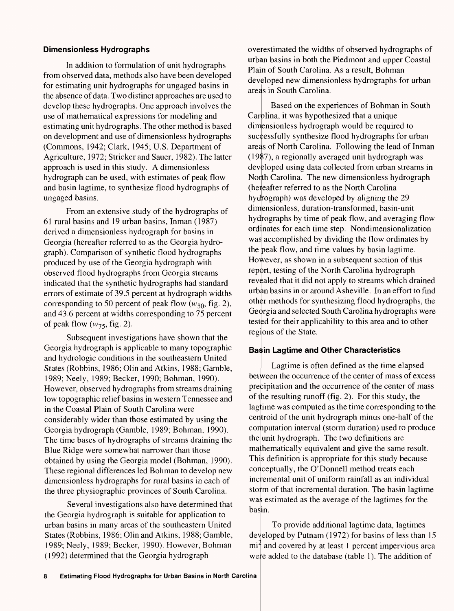#### **Dimensionless Hydrographs**

In addition to formulation of unit hydrographs from observed data, methods also have been developed for estimating unit hydrographs for ungaged basins in the absence of data. Two distinct approaches are used to develop these hydrographs. One approach involves the use of mathematical expressions for modeling and estimating unit hydrographs. The other method is based on development and use of dimensionless hydrographs (Commons, 1942; Clark, 1945; U.S. Department of Agriculture, 1972; Stricker and Sauer, 1982). The latter approach is used in this study. A dimensionless hydrograph can be used, with estimates of peak flow and basin lagtime, to synthesize flood hydrographs of ungaged basins.

From an extensive study of the hydrographs of 61 rural basins and 19 urban basins, Inman (1987) derived a dimensionless hydrograph for basins in Georgia (hereafter referred to as the Georgia hydrograph). Comparison of synthetic flood hydrographs produced by use of the Georgia hydrograph with observed flood hydrographs from Georgia streams indicated that the synthetic hydrographs had standard errors of estimate of 39.5 percent at hydrograph widths corresponding to 50 percent of peak flow ( $w_{50}$ , fig. 2), and 43.6 percent at widths corresponding to 75 percent of peak flow  $(w_{75},$  fig. 2).

Subsequent investigations have shown that the Georgia hydrograph is applicable to many topographic and hydrologic conditions in the southeastern United States (Robbins, 1986; Olin and Atkins, 1988; Gamble, 1989; Neely, 1989; Becker, 1990; Bohman, 1990). However, observed hydrographs from streams draining low topographic relief basins in western Tennessee and in the Coastal Plain of South Carolina were considerably wider than those estimated by using the Georgia hydrograph (Gamble, 1989; Bohman, 1990). The time bases of hydrographs of streams draining the Blue Ridge were somewhat narrower than those obtained by using the Georgia model (Bohman, 1990). These regional differences led Bohman to develop new dimensionless hydrographs for rural basins in each of the three physiographic provinces of South Carolina.

Several investigations also have determined that the Georgia hydrograph is suitable for application to urban basins in many areas of the southeastern United States (Robbins, 1986; Olin and Atkins, 1988; Gamble, 1989; Neely, 1989; Becker, 1990). However, Bohman (1992) determined that the Georgia hydrograph

overestimated the widths of observed hydrographs of urban basins in both the Piedmont and upper Coastal Plain of South Carolina. As a result, Bohman developed new dimensionless hydrographs for urban areas in South Carolina.

Based on the experiences of Bohman in South Carolina, it was hypothesized that a unique dimensionless hydrograph would be required to successfully synthesize flood hydrographs for urban areas of North Carolina. Following the lead of Inman (1987), a regionally averaged unit hydrograph was developed using data collected from urban streams in North Carolina. The new dimensionless hydrograph (hereafter referred to as the North Carolina hydrograph) was developed by aligning the 29 dimensionless, duration-transformed, basin-unit hydrographs by time of peak flow, and averaging flow ordinates for each time step. Nondimensionalization was accomplished by dividing the flow ordinates by the peak flow, and time values by basin lagtime. However, as shown in a subsequent section of this report, testing of the North Carolina hydrograph revealed that it did not apply to streams which drained urban basins in or around Asheville. In an effort to find other methods for synthesizing flood hydrographs, the Georgia and selected South Carolina hydrographs were tested for their applicability to this area and to other regions of the State.

#### **Ba; in Lagtime and Other Characteristics**

Lagtime is often defined as the time elapsed between the occurrence of the center of mass of excess precipitation and the occurrence of the center of mass of the resulting runoff (fig. 2). For this study, the lagtime was computed as the time corresponding to the centroid of the unit hydrograph minus one-half of the computation interval (storm duration) used to produce the unit hydrograph. The two definitions are mathematically equivalent and give the same result. This definition is appropriate for this study because conceptually, the O'Donnell method treats each incremental unit of uniform rainfall as an individual storm of that incremental duration. The basin lagtime was estimated as the average of the lagtimes for the basin.

To provide additional lagtime data, lagtimes developed by Putnam (1972) for basins of less than 15  $mi<sup>2</sup>$  and covered by at least 1 percent impervious area were added to the database (table 1). The addition of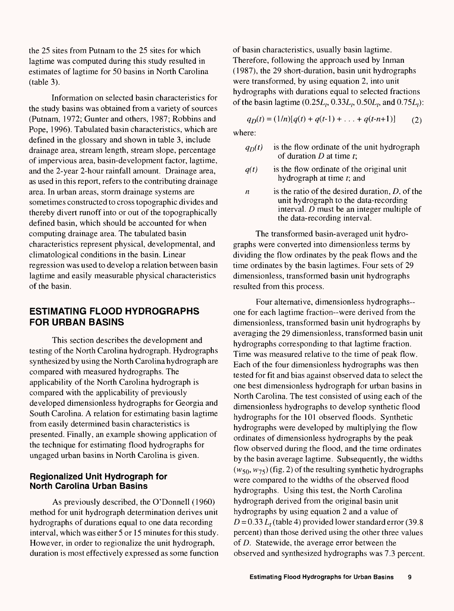the 25 sites from Putnam to the 25 sites for which lagtime was computed during this study resulted in estimates of lagtime for 50 basins in North Carolina (table 3).

Information on selected basin characteristics for the study basins was obtained from a variety of sources (Putnam, 1972; Gunter and others, 1987; Robbins and Pope, 1996). Tabulated basin characteristics, which are defined in the glossary and shown in table 3, include drainage area, stream length, stream slope, percentage of impervious area, basin-development factor, lagtime, and the 2-year 2-hour rainfall amount. Drainage area, as used in this report, refers to the contributing drainage area. In urban areas, storm drainage systems are sometimes constructed to cross topographic divides and thereby divert runoff into or out of the topographically defined basin, which should be accounted for when computing drainage area. The tabulated basin characteristics represent physical, developmental, and climatological conditions in the basin. Linear regression was used to develop a relation between basin lagtime and easily measurable physical characteristics of the basin.

## **ESTIMATING FLOOD HYDROGRAPHS FOR URBAN BASINS**

This section describes the development and testing of the North Carolina hydrograph. Hydrographs synthesized by using the North Carolina hydrograph are compared with measured hydrographs. The applicability of the North Carolina hydrograph is compared with the applicability of previously developed dimensionless hydrographs for Georgia and South Carolina. A relation for estimating basin lagtime from easily determined basin characteristics is presented. Finally, an example showing application of the technique for estimating flood hydrographs for ungaged urban basins in North Carolina is given.

### **Regionalized Unit Hydrograph for North Carolina Urban Basins**

As previously described, the O'Donnell (1960) method for unit hydrograph determination derives unit hydrographs of durations equal to one data recording interval, which was either 5 or 15 minutes for this study. However, in order to regionalize the unit hydrograph, duration is most effectively expressed as some function of basin characteristics, usually basin lagtime. Therefore, following the approach used by Inman (1987), the 29 short-duration, basin unit hydrographs were transformed, by using equation 2, into unit hydrographs with durations equal to selected fractions of the basin lagtime  $(0.25L_1, 0.33L_2, 0.50L_1, 0.75L_1)$ :

$$
q_D(t) = (1/n)[q(t) + q(t-1) + \ldots + q(t-n+1)] \tag{2}
$$

where:

- $q_D(t)$  is the flow ordinate of the unit hydrograph of duration *D* at time *t\*
- *q(t)* is the flow ordinate of the original unit hydrograph at time *t;* and
- *n* is the ratio of the desired duration, D, of the unit hydrograph to the data-recording interval. *D* must be an integer multiple of the data- recording interval.

The transformed basin-averaged unit hydrographs were converted into dimensionless terms by dividing the flow ordinates by the peak flows and the time ordinates by the basin lagtimes. Four sets of 29 dimensionless, transformed basin unit hydrographs resulted from this process.

Four alternative, dimensionless hydrographs one for each lagtime fraction--were derived from the dimensionless, transformed basin unit hydrographs by averaging the 29 dimensionless, transformed basin unit hydrographs corresponding to that lagtime fraction. Time was measured relative to the time of peak flow. Each of the four dimensionless hydrographs was then tested for fit and bias against observed data to select the one best dimensionless hydrograph for urban basins in North Carolina. The test consisted of using each of the dimensionless hydrographs to develop synthetic flood hydrographs for the 101 observed floods. Synthetic hydrographs were developed by multiplying the flow ordinates of dimensionless hydrographs by the peak flow observed during the flood, and the time ordinates by the basin average lagtime. Subsequently, the widths  $(w_{50}, w_{75})$  (fig. 2) of the resulting synthetic hydrographs were compared to the widths of the observed flood hydrographs. Using this test, the North Carolina hydrograph derived from the original basin unit hydrographs by using equation 2 and a value of  $D = 0.33 L_t$  (table 4) provided lower standard error (39.8) percent) than those derived using the other three values of *D.* Statewide, the average error between the observed and synthesized hydrographs was 7.3 percent.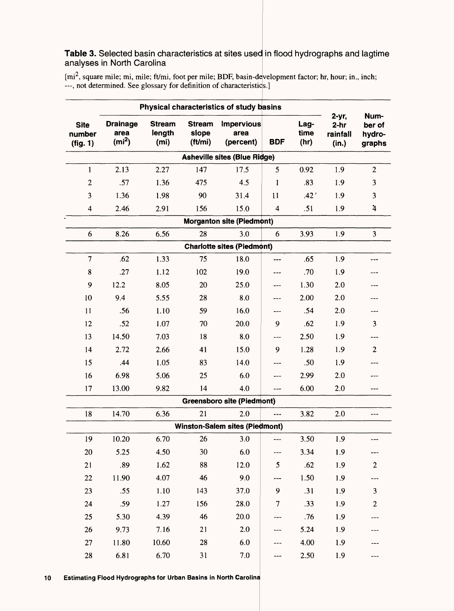## **Table 3.** Selected basin characteristics at sites used in flood hydrographs and lagtime analyses in North Carolina

[mi<sup>2</sup>, square mile; mi, mile; ft/mi, foot per mile; BDF, basin-development factor; hr, hour; in., inch; <br>---, not determined. See glossary for definition of characteristics.]

|                                   |                                              |                                              |                                   | Physical characteristics of study basins |                |                      |                                      |                                    |
|-----------------------------------|----------------------------------------------|----------------------------------------------|-----------------------------------|------------------------------------------|----------------|----------------------|--------------------------------------|------------------------------------|
| <b>Site</b><br>number<br>(fig. 1) | <b>Drainage</b><br>area<br>(m <sup>2</sup> ) | <b>Stream</b><br>length<br>(m <sub>i</sub> ) | <b>Stream</b><br>slope<br>(ft/mi) | <b>Impervious</b><br>area<br>(percent)   | <b>BDF</b>     | Lag-<br>time<br>(hr) | 2-yr,<br>$2-hr$<br>rainfall<br>(in.) | Num-<br>ber of<br>hydro-<br>graphs |
|                                   |                                              |                                              |                                   | <b>Asheville sites (Blue Ridge)</b>      |                |                      |                                      |                                    |
| $\mathbf{1}$                      | 2.13                                         | 2.27                                         | 147                               | 17.5                                     | 5              | 0.92                 | 1.9                                  | $\mathbf{2}$                       |
| $\boldsymbol{2}$                  | .57                                          | 1.36                                         | 475                               | 4.5                                      | 1              | .83                  | 1.9                                  | 3                                  |
| 3                                 | 1.36                                         | 1.98                                         | 90                                | 31.4                                     | 11             | .42'                 | 1.9                                  | 3                                  |
| $\overline{\mathbf{4}}$           | 2.46                                         | 2.91                                         | 156                               | 15.0                                     | $\overline{4}$ | .51                  | 1.9                                  | $\ddot{4}$                         |
|                                   |                                              |                                              |                                   | <b>Morganton site (Piedmont)</b>         |                |                      |                                      |                                    |
| 6                                 | 8.26                                         | 6.56                                         | 28                                | 3.0                                      | 6              | 3.93                 | 1.9                                  | 3                                  |
|                                   |                                              |                                              |                                   | <b>Charlotte sites (Piedmont)</b>        |                |                      |                                      |                                    |
| 7                                 | .62                                          | 1.33                                         | 75                                | 18.0                                     | ---            | .65                  | 1.9                                  | ---                                |
| $\bf 8$                           | .27                                          | 1.12                                         | 102                               | 19.0                                     | ---            | .70                  | 1.9                                  | ---                                |
| 9                                 | 12.2                                         | 8.05                                         | 20                                | 25.0                                     | ---            | 1.30                 | 2.0                                  |                                    |
| 10                                | 9.4                                          | 5.55                                         | 28                                | 8.0                                      | ---            | 2.00                 | 2.0                                  | ---                                |
| 11                                | .56                                          | 1.10                                         | 59                                | 16.0                                     | ---            | .54                  | 2.0                                  | ---                                |
| 12                                | .52                                          | 1.07                                         | 70                                | 20.0                                     | 9              | .62                  | 1.9                                  | 3                                  |
| 13                                | 14.50                                        | 7.03                                         | 18                                | 8.0                                      | $---$          | 2.50                 | 1.9                                  | ---                                |
| 14                                | 2.72                                         | 2.66                                         | 41                                | 15.0                                     | 9              | 1.28                 | 1.9                                  | $\overline{2}$                     |
| 15                                | .44                                          | 1.05                                         | 83                                | 14.0                                     | ---            | .50                  | 1.9                                  |                                    |
| 16                                | 6.98                                         | 5.06                                         | 25                                | 6.0                                      | ---            | 2.99                 | 2.0                                  |                                    |
| 17                                | 13.00                                        | 9.82                                         | 14                                | 4.0                                      | $- - -$        | 6.00                 | 2.0                                  | ---                                |
|                                   |                                              |                                              |                                   | <b>Greensboro site (Piedmont)</b>        |                |                      |                                      |                                    |
| 18                                | 14.70                                        | 6.36                                         | 21                                | 2.0                                      | ---            | 3.82                 | 2.0                                  | ---                                |
|                                   |                                              |                                              |                                   | <b>Winston-Salem sites (Piedmont)</b>    |                |                      |                                      |                                    |
| 19                                | 10.20                                        | 6.70                                         | 26                                | 3.0                                      | ---            | 3.50                 | 1.9                                  | ---                                |
| 20                                | 5.25                                         | 4.50                                         | 30                                | 6.0                                      | $---$          | 3.34                 | 1.9                                  |                                    |
| 21                                | .89                                          | 1.62                                         | 88                                | 12.0                                     | $\mathfrak{S}$ | .62                  | 1.9                                  | $\mathbf{2}$                       |
| 22                                | 11.90                                        | 4.07                                         | 46                                | 9.0                                      | ---            | 1.50                 | 1.9                                  | ---                                |
| 23                                | .55                                          | 1.10                                         | 143                               | 37.0                                     | 9              | .31                  | 1.9                                  | 3                                  |
| 24                                | .59                                          | 1.27                                         | 156                               | 28.0                                     | 7              | .33                  | 1.9                                  | $\overline{c}$                     |
| 25                                | 5.30                                         | 4.39                                         | 46                                | 20.0                                     |                | .76                  | 1.9                                  |                                    |
| 26                                | 9.73                                         | 7.16                                         | 21                                | 2.0                                      |                | 5.24                 | 1.9                                  |                                    |
| 27                                | 11.80                                        | 10.60                                        | 28                                | 6.0                                      |                | 4.00                 | 1.9                                  |                                    |
| 28                                | 6.81                                         | 6.70                                         | 31                                | $7.0\,$                                  |                | 2.50                 | 1.9                                  | ---                                |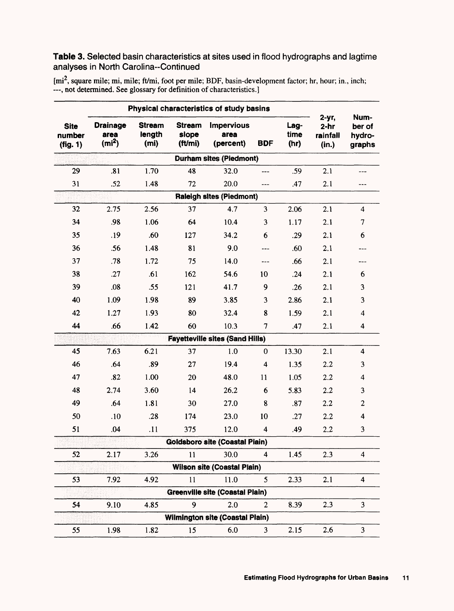## **Table 3.** Selected basin characteristics at sites used in flood hydrographs and lagtime analyses in North Carolina-Continued

[mi<sup>2</sup>, square mile; mi, mile; ft/mi, foot per mile; BDF, basin-development factor; hr, hour; in., inch; <br>---, not determined. See glossary for definition of characteristics.]

|                                   |                                              |                                 |                                   | Physical characteristics of study basins |                         |                      |                                         |                                    |
|-----------------------------------|----------------------------------------------|---------------------------------|-----------------------------------|------------------------------------------|-------------------------|----------------------|-----------------------------------------|------------------------------------|
| <b>Site</b><br>number<br>(fig. 1) | <b>Drainage</b><br>area<br>(m <sup>2</sup> ) | <b>Stream</b><br>length<br>(mi) | <b>Stream</b><br>slope<br>(ft/mi) | <b>Impervious</b><br>area<br>(percent)   | <b>BDF</b>              | Lag-<br>time<br>(hr) | $2-yr$ ,<br>$2-hr$<br>rainfall<br>(in.) | Num-<br>ber of<br>hydro-<br>graphs |
|                                   |                                              |                                 |                                   | <b>Durham sites (Piedmont)</b>           |                         |                      |                                         |                                    |
| 29                                | .81                                          | 1.70                            | 48                                | 32.0                                     |                         | .59                  | 2.1                                     |                                    |
| 31                                | .52                                          | 1.48                            | 72                                | 20.0                                     | ---                     | .47                  | 2.1                                     | ---                                |
|                                   |                                              |                                 |                                   | <b>Raleigh sites (Piedmont)</b>          |                         |                      |                                         |                                    |
| 32                                | 2.75                                         | 2.56                            | 37                                | 4.7                                      | 3                       | 2.06                 | 2.1                                     | 4                                  |
| 34                                | .98                                          | 1.06                            | 64                                | 10.4                                     | 3                       | 1.17                 | 2.1                                     | $\overline{7}$                     |
| 35                                | .19                                          | .60                             | 127                               | 34.2                                     | 6                       | .29                  | 2.1                                     | 6                                  |
| 36                                | .56                                          | 1.48                            | 81                                | 9.0                                      |                         | .60                  | 2.1                                     |                                    |
| 37                                | .78                                          | 1.72                            | 75                                | 14.0                                     | ---                     | .66                  | 2.1                                     | ---                                |
| 38                                | .27                                          | .61                             | 162                               | 54.6                                     | 10                      | .24                  | 2.1                                     | 6                                  |
| 39                                | .08                                          | .55                             | 121                               | 41.7                                     | 9                       | .26                  | 2.1                                     | 3                                  |
| 40                                | 1.09                                         | 1.98                            | 89                                | 3.85                                     | 3                       | 2.86                 | 2.1                                     | 3                                  |
| 42                                | 1.27                                         | 1.93                            | 80                                | 32.4                                     | 8                       | 1.59                 | 2.1                                     | $\overline{\mathbf{4}}$            |
| 44                                | .66                                          | 1.42                            | 60                                | 10.3                                     | 7                       | .47                  | 2.1                                     | 4                                  |
|                                   |                                              |                                 |                                   | <b>Fayetteville sites (Sand Hills)</b>   |                         |                      |                                         |                                    |
| 45                                | 7.63                                         | 6.21                            | 37                                | 1.0                                      | $\boldsymbol{0}$        | 13.30                | 2.1                                     | $\overline{\mathbf{4}}$            |
| 46                                | .64                                          | .89                             | 27                                | 19.4                                     | $\overline{\mathbf{4}}$ | 1.35                 | 2.2                                     | 3                                  |
| 47                                | .82                                          | 1.00                            | 20                                | 48.0                                     | 11                      | 1.05                 | 2.2                                     | $\overline{\mathbf{4}}$            |
| 48                                | 2.74                                         | 3.60                            | 14                                | 26.2                                     | 6                       | 5.83                 | 2.2                                     | 3                                  |
| 49                                | .64                                          | 1.81                            | 30                                | 27.0                                     | 8                       | .87                  | 2.2                                     | $\mathbf{2}$                       |
| 50                                | .10                                          | .28                             | 174                               | 23.0                                     | 10                      | .27                  | 2.2                                     | $\overline{\mathbf{4}}$            |
| 51                                | .04                                          | .11                             | 375                               | 12.0                                     | $\overline{\mathbf{4}}$ | .49                  | 2.2                                     | 3                                  |
|                                   |                                              |                                 |                                   | <b>Goldsboro site (Coastal Piain)</b>    |                         |                      |                                         |                                    |
| 52                                | 2.17                                         | 3.26                            | 11                                | 30.0                                     | 4                       | 1.45                 | 2.3                                     | $\overline{\mathbf{4}}$            |
|                                   |                                              |                                 |                                   | <b>Wilson site (Coastal Plain)</b>       |                         |                      |                                         |                                    |
| 53                                | 7.92                                         | 4.92                            | 11                                | 11.0                                     | 5                       | 2.33                 | 2.1                                     | 4                                  |
|                                   |                                              |                                 |                                   | <b>Greenville site (Coastal Plain)</b>   |                         |                      |                                         |                                    |
| 54                                | 9.10                                         | 4.85                            | 9                                 | 2.0                                      | $\overline{2}$          | 8.39                 | 2.3                                     | 3                                  |
|                                   |                                              |                                 |                                   | Wilmington site (Coastal Plain)          |                         |                      |                                         |                                    |
| 55                                | 1.98                                         | 1.82                            | 15                                | 6.0                                      | 3                       | 2.15                 | 2.6                                     | 3                                  |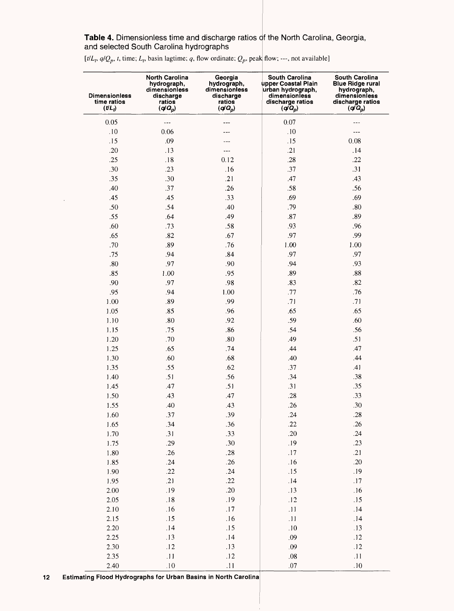Table 4. Dimensionless time and discharge ratios of the North Carolina, Georgia, and selected South Carolina hydrographs

 $[t/L_t, q/Q_n, t]$ , time;  $L_t$ , basin lagtime; q, flow ordinate;  $Q_n$ , peak flow; ---, not available

| upper Coastal Plain<br><b>Blue Ridge rural</b><br>hydrograph,<br>hydrograph,<br>dimensionless<br>dimensionless<br>urban hydrograph,<br>hydrograph,<br><b>Dimensionless</b><br>dimensionless<br>discharge<br>discharge<br>dimensionless<br>time ratios<br>ratios<br>ratios<br>discharge ratios<br>discharge ratios<br>$(q\bar{q}_p)$<br>$(UL_t)$<br>$(q/Q_p)$<br>$(q\bar{q}_p)$<br>$(q/Q_p)$ |  |
|---------------------------------------------------------------------------------------------------------------------------------------------------------------------------------------------------------------------------------------------------------------------------------------------------------------------------------------------------------------------------------------------|--|
| 0.05<br>$0.07\,$<br>$- - -$<br>$---$                                                                                                                                                                                                                                                                                                                                                        |  |
| .10<br>0.06<br>$.10\,$<br>---<br>.                                                                                                                                                                                                                                                                                                                                                          |  |
| .15<br>.09<br>.15<br>0.08                                                                                                                                                                                                                                                                                                                                                                   |  |
| .20<br>.21<br>.13<br>.14<br>---                                                                                                                                                                                                                                                                                                                                                             |  |
| .25<br>$.18\,$<br>$.28\,$<br>.22<br>0.12                                                                                                                                                                                                                                                                                                                                                    |  |
| .30<br>.31<br>.23<br>.16<br>.37                                                                                                                                                                                                                                                                                                                                                             |  |
| .35<br>.30<br>.21<br>.47<br>.43                                                                                                                                                                                                                                                                                                                                                             |  |
| .37<br>.40<br>.26<br>.58<br>.56                                                                                                                                                                                                                                                                                                                                                             |  |
| .45<br>.45<br>.33<br>.69<br>.69                                                                                                                                                                                                                                                                                                                                                             |  |
| .50<br>.54<br>.79<br>$.80\,$<br>.40                                                                                                                                                                                                                                                                                                                                                         |  |
| .55<br>.64<br>.49<br>$.87\,$<br>.89                                                                                                                                                                                                                                                                                                                                                         |  |
| .60<br>.93<br>.96<br>.73<br>.58                                                                                                                                                                                                                                                                                                                                                             |  |
| .65<br>.82<br>.97<br>.99<br>.67                                                                                                                                                                                                                                                                                                                                                             |  |
| .70<br>.89<br>.76<br>1.00<br>1.00                                                                                                                                                                                                                                                                                                                                                           |  |
| .97<br>.97<br>.75<br>.94<br>.84                                                                                                                                                                                                                                                                                                                                                             |  |
| .80<br>.97<br>.94<br>.93<br>.90                                                                                                                                                                                                                                                                                                                                                             |  |
| .85<br>1.00<br>.89<br>$.88\,$<br>.95                                                                                                                                                                                                                                                                                                                                                        |  |
| .83<br>.82<br>.90<br>.97<br>.98                                                                                                                                                                                                                                                                                                                                                             |  |
| .76<br>.95<br>.94<br>1.00<br>.77                                                                                                                                                                                                                                                                                                                                                            |  |
| 1.00<br>.89<br>.99<br>.71<br>.71                                                                                                                                                                                                                                                                                                                                                            |  |
| .65<br>1.05<br>.85<br>.96<br>.65                                                                                                                                                                                                                                                                                                                                                            |  |
| .80<br>.59<br>.60<br>1.10<br>.92                                                                                                                                                                                                                                                                                                                                                            |  |
| .75<br>.54<br>.56<br>1.15<br>.86                                                                                                                                                                                                                                                                                                                                                            |  |
| .70<br>.80<br>.49<br>.51<br>1.20                                                                                                                                                                                                                                                                                                                                                            |  |
| 47<br>1.25<br>.65<br>.74<br>.44                                                                                                                                                                                                                                                                                                                                                             |  |
| .44<br>1.30<br>.60<br>.40<br>.68                                                                                                                                                                                                                                                                                                                                                            |  |
| .55<br>.37<br>1.35<br>.62<br>.41                                                                                                                                                                                                                                                                                                                                                            |  |
| .51<br>.34<br>.38<br>1.40<br>.56                                                                                                                                                                                                                                                                                                                                                            |  |
| .47<br>.31<br>.35<br>1.45<br>.51                                                                                                                                                                                                                                                                                                                                                            |  |
| $.28\,$<br>.33<br>1.50<br>.43<br>.47                                                                                                                                                                                                                                                                                                                                                        |  |
| .26<br>.30<br>1.55<br>.40<br>.43                                                                                                                                                                                                                                                                                                                                                            |  |
| .24<br>.28<br>.37<br>.39<br>1.60                                                                                                                                                                                                                                                                                                                                                            |  |
| .22<br>.26<br>.34<br>1.65<br>.36                                                                                                                                                                                                                                                                                                                                                            |  |
| .31<br>$.20\,$<br>.24<br>.33<br>1.70                                                                                                                                                                                                                                                                                                                                                        |  |
| .19<br>.29<br>.30<br>.23<br>1.75                                                                                                                                                                                                                                                                                                                                                            |  |
| .26<br>.17<br>.21<br>$.28\,$<br>1.80                                                                                                                                                                                                                                                                                                                                                        |  |
| .24<br>.20<br>.26<br>.16<br>1.85                                                                                                                                                                                                                                                                                                                                                            |  |
| .22<br>.24<br>.15<br>.19<br>1.90                                                                                                                                                                                                                                                                                                                                                            |  |
| .21<br>.22<br>.14<br>$.17\,$<br>1.95                                                                                                                                                                                                                                                                                                                                                        |  |
| .19<br>.20<br>.13<br>$2.00\,$<br>.16                                                                                                                                                                                                                                                                                                                                                        |  |
| .18<br>.19<br>.12<br>.15<br>2.05                                                                                                                                                                                                                                                                                                                                                            |  |
| .11<br>.16<br>$.17$<br>.14<br>$2.10\,$                                                                                                                                                                                                                                                                                                                                                      |  |
| .15<br>.16<br>$.11\,$<br>.14<br>2.15                                                                                                                                                                                                                                                                                                                                                        |  |
| .14<br>2.20<br>.15<br>.10<br>.13                                                                                                                                                                                                                                                                                                                                                            |  |
| .13<br>.09<br>$.12$<br>2.25<br>.14                                                                                                                                                                                                                                                                                                                                                          |  |
| .12<br>.09<br>.12<br>2.30<br>.13                                                                                                                                                                                                                                                                                                                                                            |  |
| .11<br>2.35<br>.11<br>$.12$<br>$.08\,$                                                                                                                                                                                                                                                                                                                                                      |  |
| .10<br>.11<br>.07<br>.10<br>2.40                                                                                                                                                                                                                                                                                                                                                            |  |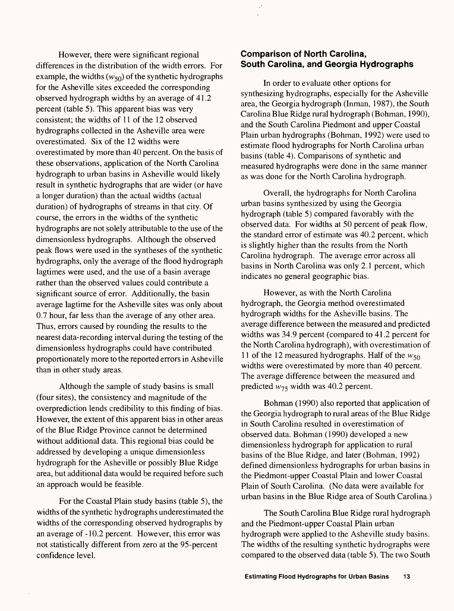However, there were significant regional differences in the distribution of the width errors. For example, the widths  $(w_{50})$  of the synthetic hydrographs for the Asheville sites exceeded the corresponding observed hydrograph widths by an average of 41.2 percent (table 5). This apparent bias was very consistent; the widths of 11 of the 12 observed hydrographs collected in the Asheville area were overestimated. Six of the 12 widths were overestimated by more than 40 percent. On the basis of these observations, application of the North Carolina hydrograph to urban basins in Asheville would likely result in synthetic hydrographs that are wider (or have a longer duration) than the actual widths (actual duration) of hydrographs of streams in that city. Of course, the errors in the widths of the synthetic hydrographs are not solely attributable to the use of the dimensionless hydrographs. Although the observed peak flows were used in the syntheses of the synthetic hydrographs, only the average of the flood hydrograph lagtimes were used, and the use of a basin average rather than the observed values could contribute a significant source of error. Additionally, the basin average lagtime for the Asheville sites was only about 0.7 hour, far less than the average of any other area. Thus, errors caused by rounding the results to the nearest data-recording interval during the testing of the dimensionless hydrographs could have contributed proportionately more to the reported errors in Asheville than in other study areas.

Although the sample of study basins is small (four sites), the consistency and magnitude of the overprediction lends credibility to this finding of bias. However, the extent of this apparent bias in other areas of the Blue Ridge Province cannot be determined without additional data. This regional bias could be addressed by developing a unique dimensionless hydrograph for the Asheville or possibly Blue Ridge area, but additional data would be required before such an approach would be feasible.

For the Coastal Plain study basins (table 5), the widths of the synthetic hydrographs underestimated the widths of the corresponding observed hydrographs by an average of -10.2 percent. However, this error was not statistically different from zero at the 95-percent confidence level.

## **Comparison of North Carolina, South Carolina, and Georgia Hydrographs**

In order to evaluate other options for synthesizing hydrographs, especially for the Asheville area, the Georgia hydrograph (Inman, 1987), the South Carolina Blue Ridge rural hydrograph (Bohman, 1990), and the South Carolina Piedmont and upper Coastal Plain urban hydrographs (Bohman, 1992) were used to estimate flood hydrographs for North Carolina urban basins (table 4). Comparisons of synthetic and measured hydrographs were done in the same manner as was done for the North Carolina hydrograph.

Overall, the hydrographs for North Carolina urban basins synthesized by using the Georgia hydrograph (table 5) compared favorably with the observed data. For widths at 50 percent of peak flow, the standard error of estimate was 40.2 percent, which is slightly higher than the results from the North Carolina hydrograph. The average error across all basins in North Carolina was only 2.1 percent, which indicates no general geographic bias.

However, as with the North Carolina hydrograph, the Georgia method overestimated hydrograph widths for the Asheville basins. The average difference between the measured and predicted widths was 34.9 percent (compared to 41.2 percent for the North Carolina hydrograph), with overestimation of 11 of the 12 measured hydrographs. Half of the  $w_{50}$ widths were overestimated by more than 40 percent. The average difference between the measured and predicted  $w_{75}$  width was 40.2 percent.

Bohman (1990) also reported that application of the Georgia hydrograph to rural areas of the Blue Ridge in South Carolina resulted in overestimation of observed data. Bohman (1990) developed a new dimensionless hydrograph for application to rural basins of the Blue Ridge, and later (Bohman, 1992) defined dimensionless hydrographs for urban basins in the Piedmont-upper Coastal Plain and lower Coastal Plain of South Carolina. (No data were available for urban basins in the Blue Ridge area of South Carolina.)

The South Carolina Blue Ridge rural hydrograph and the Piedmont-upper Coastal Plain urban hydrograph were applied to the Asheville study basins. The widths of the resulting synthetic hydrographs were compared to the observed data (table 5). The two South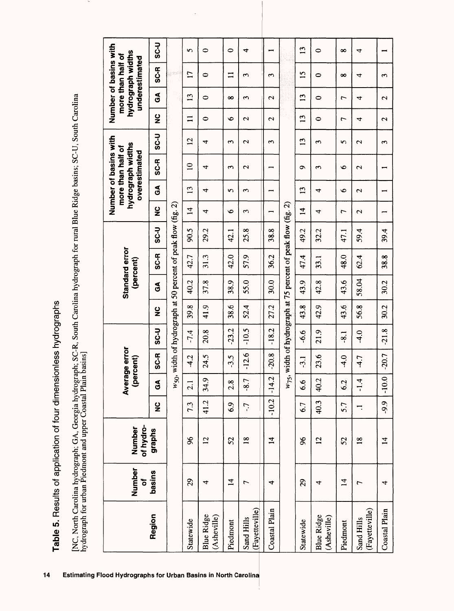Table 5. Results of application of four dimensionless hydrographs **Table 5.** Results of application of four dimensionless hydrographs

[NC, North Carolina hydrograph; GA, Georgia hydrograph; SC-R, South Carolina hydrograph for rural Blue Ridge basins; SC-U, South Carolina<br>hydrograph for urban Piedmont and upper Coastal Plain basins] [NC, North Carolina hydrograph; GA, Georgia hydrograph; SC-R, South Carolina hydrograph for rural Blue Ridge basins; SC-U, South Carolina hydrograph for urban Piedmont and upper Coastal Plain basins]

|                                  | Number<br>ō    | of hydro-<br>Number |               |         | Average error<br>(percent) |             |               |              | Standard error<br>(percent) |                                                                    |                          |                   | Number of basins with<br>hydrograph widths<br>more than half of<br>overestimated |                       |                        |                        | Number of basins with<br>hydrograph widths<br>more than half of<br>underestimated |                          |
|----------------------------------|----------------|---------------------|---------------|---------|----------------------------|-------------|---------------|--------------|-----------------------------|--------------------------------------------------------------------|--------------------------|-------------------|----------------------------------------------------------------------------------|-----------------------|------------------------|------------------------|-----------------------------------------------------------------------------------|--------------------------|
| Region                           | <b>basins</b>  | graphs              | $\frac{6}{5}$ | á       | <b>SC-R</b>                | <b>U-2S</b> | $\frac{0}{2}$ | $\mathbf{S}$ | SC-R                        | <b>U-2S</b>                                                        | ပ္စ                      | $\mathfrak{S}$    | SC-R                                                                             | ں<br>33               | $\frac{0}{2}$          | $\mathbf{E}$           | SC-R                                                                              | <b>U-2S</b>              |
|                                  |                |                     |               |         |                            |             |               |              |                             | $w_{50}$ , width of hydrograph at 50 percent of peak flow (fig. 2) |                          |                   |                                                                                  |                       |                        |                        |                                                                                   |                          |
| Statewide                        | 29             | 96                  | 7.3           | 2.1     | $-4.2$                     | $-7.4$      | 39.8          | 40.2         | 42.7                        | 90.5                                                               | $\overline{1}$           | $\overline{13}$   | $\overline{a}$                                                                   | $\overline{2}$        | $\equiv$               | $\overline{13}$        | $\mathbf{L}$                                                                      | $\mathbf{r}$             |
| <b>Blue Ridge</b><br>(Asheville) | 4              | $\overline{2}$      | 41.2          | 34.9    | 24.5                       | 20.8        | 41.9          | 37.8         | 31.3                        | 29.2                                                               | 4                        | 4                 | 4                                                                                | 4                     | 0                      | 0                      | 0                                                                                 | 0                        |
| Piedmont                         | $\vec{a}$      | 52                  | 6.9           | 2.8     | $-3.5$                     | $-23.2$     | 38.6          | 38.9         | 42.0                        | 42.1                                                               | $\bullet$                | 5                 | Σ                                                                                | ς                     | $\bullet$              | $\infty$               | $\equiv$                                                                          | $\circ$                  |
| (Fayetteville)<br>Sand Hills     | $\overline{ }$ | $\frac{8}{18}$      | $\ddot{ }$    | $-8.7$  | $-12.6$                    | $-10.5$     | 52.4          | 55.0         | 57.9                        | 25.8                                                               | 3                        | 3                 | $\mathbf 2$                                                                      | $\mathbf{\mathsf{C}}$ | $\mathbf{\mathcal{L}}$ | $\sim$                 | 3                                                                                 | 4                        |
| Coastal Plain                    | 4              | $\overline{4}$      | $-10.2$       | $-14.2$ | $-20.8$                    | $-18.2$     | 27.2          | 30.0         | 36.2                        | 38.8                                                               | $\overline{\phantom{a}}$ |                   |                                                                                  | ς                     | $\mathbf{\mathcal{L}}$ | $\mathbf{\mathcal{L}}$ | $\epsilon$                                                                        |                          |
|                                  |                |                     |               |         |                            |             |               |              |                             | $w_{75}$ , width of hydrograph at 75 percent of peak flow (fig. 2) |                          |                   |                                                                                  |                       |                        |                        |                                                                                   |                          |
| Statewide                        | 29             | $\frac{8}{2}$       | 6.7           | 66      | $-3.1$                     | 99-         | 43.8          | 43.9         | 47.4                        | 49.2                                                               | $\overline{4}$           | $\mathbf{u}$      | $\bullet$                                                                        | $\mathbf{L}$          | $\mathbf{13}$          | $\mathbf{L}$           | $\overline{1}$                                                                    | $\mathbf{L}$             |
| <b>Blue Ridge</b><br>(Asheville) | 4              | $\overline{2}$      | 40.3          | 40.2    | 23.6                       | 21.9        | 42.9          | 42.8         | 33.1                        | 32.2                                                               | 4                        | 4                 | ω                                                                                | $\mathbf{c}$          | $\circ$                | 0                      | 0                                                                                 | 0                        |
| Piedmont                         | $\vec{r}$      | 52                  | 5.7           | 6.2     | $\frac{1}{4}$              | $-8.1$      | 43.6          | 43.6         | 48.0                        | 47.1                                                               | $\overline{ }$           | $\bullet$         | $\bullet$                                                                        | 5                     | $\overline{ }$         | $\overline{ }$         | $\infty$                                                                          | $\infty$                 |
| (Fayetteville)<br>Sand Hills     | $\overline{ }$ | $\frac{8}{10}$      | ∺             | $-1.4$  | $-4.7$                     | $-4.0$      | 56.8          | 58.04        | 62.4                        | 59.4                                                               | $\mathcal{L}$            | $\mathbf{\Omega}$ | $\mathbf{\Omega}$                                                                | $\mathbf{\Omega}$     | 4                      | 4                      | 4                                                                                 | 4                        |
| Coastal Plain                    | 4              | $\mathbf{1}$        | .9.9          | $-10.0$ | $-20.7$                    | $-21.8$     | 30.2          | 30.2         | 38.8                        | 39.4                                                               |                          |                   |                                                                                  | 3                     | Z                      | $\mathbf{\mathbf{a}}$  | 3                                                                                 | $\overline{\phantom{0}}$ |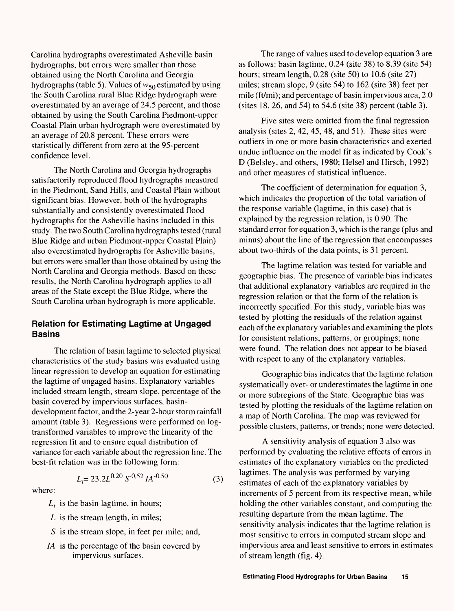Carolina hydrographs overestimated Asheville basin hydrographs, but errors were smaller than those obtained using the North Carolina and Georgia hydrographs (table 5). Values of  $w_{50}$  estimated by using the South Carolina rural Blue Ridge hydrograph were overestimated by an average of 24.5 percent, and those obtained by using the South Carolina Piedmont-upper Coastal Plain urban hydrograph were overestimated by an average of 20.8 percent. These errors were statistically different from zero at the 95-percent confidence level.

The North Carolina and Georgia hydrographs satisfactorily reproduced flood hydrographs measured in the Piedmont, Sand Hills, and Coastal Plain without significant bias. However, both of the hydrographs substantially and consistently overestimated flood hydrographs for the Asheville basins included in this study. The two South Carolina hydrographs tested (rural Blue Ridge and urban Piedmont-upper Coastal Plain) also overestimated hydrographs for Asheville basins, but errors were smaller than those obtained by using the North Carolina and Georgia methods. Based on these results, the North Carolina hydrograph applies to all areas of the State except the Blue Ridge, where the South Carolina urban hydrograph is more applicable.

### **Relation for Estimating Lagtime at Ungaged Basins**

The relation of basin lagtime to selected physical characteristics of the study basins was evaluated using linear regression to develop an equation for estimating the lagtime of ungaged basins. Explanatory variables included stream length, stream slope, percentage of the basin covered by impervious surfaces, basindevelopment factor, and the 2-year 2-hour storm rainfall amount (table 3). Regressions were performed on logtransformed variables to improve the linearity of the regression fit and to ensure equal distribution of variance for each variable about the regression line. The best-fit relation was in the following form:

$$
L_t = 23.2L^{0.20} S^{-0.52} I A^{-0.50}
$$
 (3)

where:

- $L_t$  is the basin lagtime, in hours;
- *L* is the stream length, in miles;
- *S* is the stream slope, in feet per mile; and,
- *IA* is the percentage of the basin covered by impervious surfaces.

The range of values used to develop equation 3 are as follows: basin lagtime, 0.24 (site 38) to 8.39 (site 54) hours; stream length, 0.28 (site 50) to 10.6 (site 27) miles; stream slope, 9 (site 54) to 162 (site 38) feet per mile (ft/mi); and percentage of basin impervious area, 2.0 (sites 18, 26, and 54) to 54.6 (site 38) percent (table 3).

Five sites were omitted from the final regression analysis (sites 2, 42, 45, 48, and 51). These sites were outliers in one or more basin characteristics and exerted undue influence on the model fit as indicated by Cook's D (Belsley, and others, 1980; Helsel and Hirsch, 1992) and other measures of statistical influence.

The coefficient of determination for equation 3, which indicates the proportion of the total variation of the response variable (lagtime, in this case) that is explained by the regression relation, is 0.90. The standard error for equation 3, which is the range (plus and minus) about the line of the regression that encompasses about two-thirds of the data points, is 31 percent.

The lagtime relation was tested for variable and geographic bias. The presence of variable bias indicates that additional explanatory variables are required in the regression relation or that the form of the relation is incorrectly specified. For this study, variable bias was tested by plotting the residuals of the relation against each of the explanatory variables and examining the plots for consistent relations, patterns, or groupings; none were found. The relation does not appear to be biased with respect to any of the explanatory variables.

Geographic bias indicates that the lagtime relation systematically over- or underestimates the lagtime in one or more subregions of the State. Geographic bias was tested by plotting the residuals of the lagtime relation on a map of North Carolina. The map was reviewed for possible clusters, patterns, or trends; none were detected.

A sensitivity analysis of equation 3 also was performed by evaluating the relative effects of errors in estimates of the explanatory variables on the predicted lagtimes. The analysis was performed by varying estimates of each of the explanatory variables by increments of 5 percent from its respective mean, while holding the other variables constant, and computing the resulting departure from the mean lagtime. The sensitivity analysis indicates that the lagtime relation is most sensitive to errors in computed stream slope and impervious area and least sensitive to errors in estimates of stream length (fig. 4).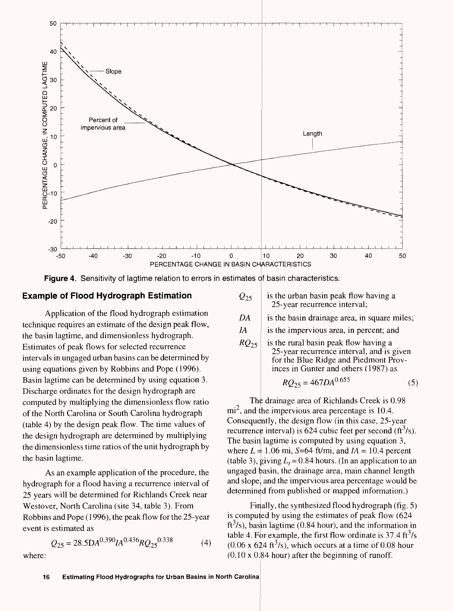

**Figure 4.** Sensitivity of lagtime relation to errors in estimates of basin characteristics.

#### **Example of Flood Hydrograph Estimation**

Application of the flood hydrograph estimation technique requires an estimate of the design peak flow, the basin lagtime, and dimensionless hydrograph. Estimates of peak flows for selected recurrence intervals in ungaged urban basins can be determined by using equations given by Robbins and Pope (1996). Basin lagtime can be determined by using equation 3. Discharge ordinates for the design hydrograph are computed by multiplying the dimensionless flow ratio of the North Carolina or South Carolina hydrograph (table 4) by the design peak flow. The time values of the design hydrograph are determined by multiplying the dimensionless time ratios of the unit hydrograph by the basin lagtime.

As an example application of the procedure, the hydrograph for a flood having a recurrence interval of 25 years will be determined for Richlands Creek near Westover, North Carolina (site 34, table 3). From Robbins and Pope (1996), the peak flow for the 25-year event is estimated as

$$
Q_{25} = 28.5 \text{DA}^{0.390} I A^{0.436} R Q_{25}^{0.338} \tag{4}
$$

where:

| $\mathcal{Q}_{25}$ | is the urban basin peak flow having a |  |
|--------------------|---------------------------------------|--|
|                    | 25-year recurrence interval;          |  |
|                    |                                       |  |

*DA* **i** is the basin drainage area, in square miles;

*IA* is the impervious area, in percent; and

 $RQ_{25}$  is the rural basin peak flow having a 25-year recurrence interval, and is given for the Blue Ridge and Piedmont Provinces in Gunter and others (1987) as

$$
RQ_{25} = 467DA^{0.655} \tag{5}
$$

The drainage area of Richlands Creek is 0.98  $mi^2$ , and the impervious area percentage is 10.4. Consequently, the design flow (in this case, 25-year recurrence interval) is 624 cubic feet per second  $(f<sup>3</sup>/s)$ . The basin lagtime is computed by using equation 3, where  $L = 1.06$  mi, S=64 ft/mi, and  $IA = 10.4$  percent (table 3), giving  $L<sub>t</sub> = 0.84$  hours. (In an application to an ungaged basin, the drainage area, main channel length and slope and the impervious area percentage would be determined from published or mapped information.)

Finally, the synthesized flood hydrograph (fig.  $5$ ) is computed by using the estimates of peak flow (624 ft<sup>3</sup>/s), basin lagtime (0.84 hour), and the information in table 4. For example, the first flow ordinate is  $37.4 \text{ ft}^3/\text{s}$  $(0.06 \times 624 \text{ ft}^3/\text{s})$ , which occurs at a time of 0.08 hour  $(0.10 \times 0.84$  hour) after the beginning of runoff.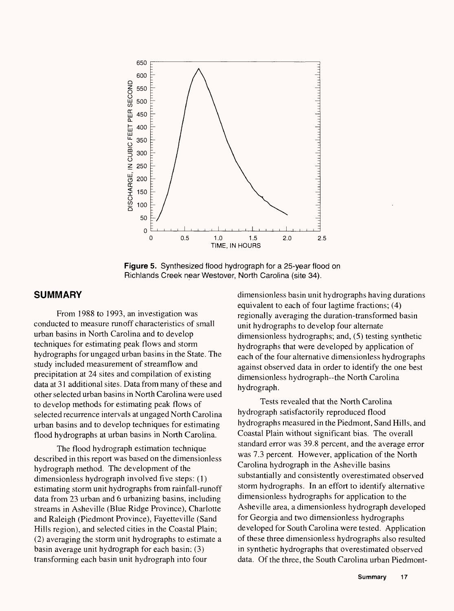

**Figure 5.** Synthesized flood hydrograph for a 25-year flood on Richlands Creek near Westover, North Carolina (site 34).

#### **SUMMARY**

From 1988 to 1993, an investigation was conducted to measure runoff characteristics of small urban basins in North Carolina and to develop techniques for estimating peak flows and storm hydrographs for ungaged urban basins in the State. The study included measurement of streamflow and precipitation at 24 sites and compilation of existing data at 31 additional sites. Data from many of these and other selected urban basins in North Carolina were used to develop methods for estimating peak flows of selected recurrence intervals at ungaged North Carolina urban basins and to develop techniques for estimating flood hydrographs at urban basins in North Carolina.

The flood hydrograph estimation technique described in this report was based on the dimensionless hydrograph method. The development of the dimensionless hydrograph involved five steps: (1) estimating storm unit hydrographs from rainfall-runoff data from 23 urban and 6 urbanizing basins, including streams in Asheville (Blue Ridge Province), Charlotte and Raleigh (Piedmont Province), Fayetteville (Sand Hills region), and selected cities in the Coastal Plain; (2) averaging the storm unit hydrographs to estimate a basin average unit hydrograph for each basin; (3) transforming each basin unit hydrograph into four

dimensionless basin unit hydrographs having durations equivalent to each of four lagtime fractions; (4) regionally averaging the duration-transformed basin unit hydrographs to develop four alternate dimensionless hydrographs; and, (5) testing synthetic hydrographs that were developed by application of each of the four alternative dimensionless hydrographs against observed data in order to identify the one best dimensionless hydrograph--the North Carolina hydrograph.

Tests revealed that the North Carolina hydrograph satisfactorily reproduced flood hydrographs measured in the Piedmont, Sand Hills, and Coastal Plain without significant bias. The overall standard error was 39.8 percent, and the average error was 7.3 percent. However, application of the North Carolina hydrograph in the Asheville basins substantially and consistently overestimated observed storm hydrographs. In an effort to identify alternative dimensionless hydrographs for application to the Asheville area, a dimensionless hydrograph developed for Georgia and two dimensionless hydrographs developed for South Carolina were tested. Application of these three dimensionless hydrographs also resulted in synthetic hydrographs that overestimated observed data. Of the three, the South Carolina urban Piedmont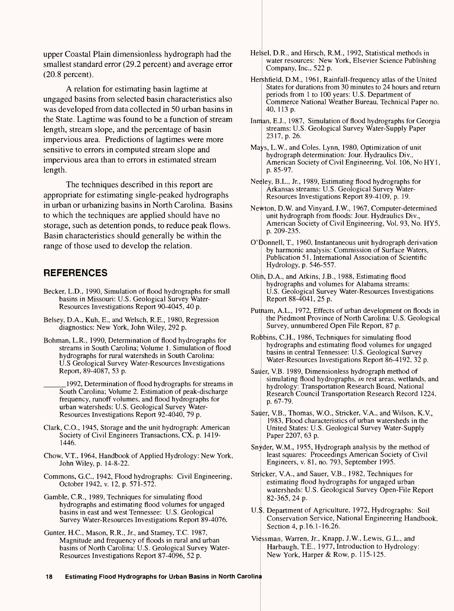upper Coastal Plain dimensionless hydrograph had the smallest standard error (29.2 percent) and average error (20.8 percent).

A relation for estimating basin lagtime at ungaged basins from selected basin characteristics also was developed from data collected in 50 urban basins in the State. Lagtime was found to be a function of stream length, stream slope, and the percentage of basin impervious area. Predictions of lagtimes were more sensitive to errors in computed stream slope and impervious area than to errors in estimated stream length.

The techniques described in this report are appropriate for estimating single-peaked hydrographs in urban or urbanizing basins in North Carolina. Basins to which the techniques are applied should have no storage, such as detention ponds, to reduce peak flows. Basin characteristics should generally be within the range of those used to develop the relation.

# **REFERENCES**

- Becker, L.D., 1990, Simulation of flood hydrographs for small basins in Missouri: U.S. Geological Survey Water-Resources Investigations Report 90-4045, 40 p.
- Belsey, D.A., Kuh, E., and Welsch, R.E., 1980, Regression diagnostics: New York, John Wiley, 292 p.
- Bohman, L.R., 1990, Determination of flood hydrographs for streams in South Carolina; Volume 1. Simulation of flood hydrographs for rural watersheds in South Carolina: U.S Geological Survey Water-Resources Investigations Report, 89-4087, 53 p.

\_\_\_\_1992, Determination of flood hydrographs for streams in South Carolina; Volume 2. Estimation of peak-discharge frequency, runoff volumes, and flood hydrographs for urban watersheds: U.S. Geological Survey Water-Resources Investigations Report 92-4040, 79 p.

- Clark, C.O., 1945, Storage and the unit hydrograph: American Society of Civil Engineers Transactions, CX, p. 1419-1446.
- Chow, V.T., 1964, Handbook of Applied Hydrology: New York, John Wiley, p. 14-8-22.
- Commons, G.C., 1942, Flood hydrographs: Civil Engineering, October 1942, v. 12, p. 571-572.
- Gamble, C.R., 1989, Techniques for simulating flood hydrographs and estimating flood volumes for ungaged basins in east and west Tennessee: U.S. Geological Survey Water-Resources Investigations Report 89-4076.
- Gunter, H.C., Mason, R.R., Jr., and Stamey, T.C. 1987, Magnitude and frequency of floods in rural and urban basins of North Carolina: U.S. Geological Survey Water-Resources Investigations Report 87-4096, 52 p.
- Helsel, D.R., and Hirsch, R.M., 1992, Statistical methods in water resources: New York, Elsevier Science Publishing Company, Inc., 522 p.
- Hershfield, D.M., 1961, Rainfall-frequency atlas of the United States for durations from 30 minutes to 24 hours and return periods from 1 to 100 years: U.S. Department of Commerce National Weather Bureau, Technical Paper no. 40, 113 p.
- Inman, E.J., 1987, Simulation of flood hydrographs for Georgia streams: U.S. Geological Survey Water-Supply Paper 2317, p. 26.
- Mays, L.W, and Coles, Lynn, 1980, Optimization of unit hydrograph determination: Jour. Hydraulics Div., American Society of Civil Engineering, Vol. 106, No HY1, p. 85-97.
- Neeley, B.L., Jr., 1989, Estimating flood hydrographs for Arkansas streams: U.S. Geological Survey Water-Resources Investigations Report 89-4109, p. 19.
- Newton, D.W and Vinyard, J.W., 1967, Computer-determined unit hydrograph from floods: Jour. Hydraulics Div., American Society of Civil Engineering, Vol. 93, No. HY5, p. 209-235.
- O'Donnell, T., 1960, Instantaneous unit hydrograph derivation by harmonic analysis: Commission of Surface Waters, Publication 51, International Association of Scientific Hydrology, p. 546-557.
- Olin, D.A., and Atkins, J.B., 1988, Estimating flood hydrographs and volumes for Alabama streams: U.S. Geological Survey Water-Resources Investigations Report 88-4041,25 p.
- Putnam, A.L., 1972, Effects of urban development on floods in the Piedmont Province of North Carolina: U.S. Geological Survey, unnumbered Open File Report, 87 p.
- Robbins, C.H., 1986, Techniques for simulating flood hydrographs and estimating flood volumes for ungaged basins in central Tennessee: U.S. Geological Survey Water-Resources Investigations Report 86-4192, 32 p.
- Sauer, VB. 1989, Dimensionless hydrograph method of simulating flood hydrographs, *in* rest areas, wetlands, and hydrology: Transportation Research Board, National Research Council Transportation Research Record 1224, p. 67-79.
- Sauer, V.B., Thomas, W.O., Stricker, V.A., and Wilson, K.V., 1983, Flood characteristics of urban watersheds in the United States: U.S. Geological Survey Water-Supply Paper 2207, 63 p.
- Snvder, W.M., 1955, Hydrograph analysis by the method of least squares: Proceedings American Society of Civil Engineers, v. 81, no. 793, September 1995.
- Stricker, V.A., and Sauer, V.B., 1982, Techniques for estimating flood hydrographs for ungaged urban watersheds: U.S. Geological Survey Open-File Report 82-365, 24 p.
- U.S. Department of Agriculture, 1972, Hydrographs: Soil Conservation Service, National Engineering Handbook, Section 4, p.16.1-16.26.
- Viessman, Warren, Jr., Knapp, J.W., Lewis, G.L., and Harbaugh, T.E., 1977, Introduction to Hydrology: New York, Harper & Row, p. 115-125.